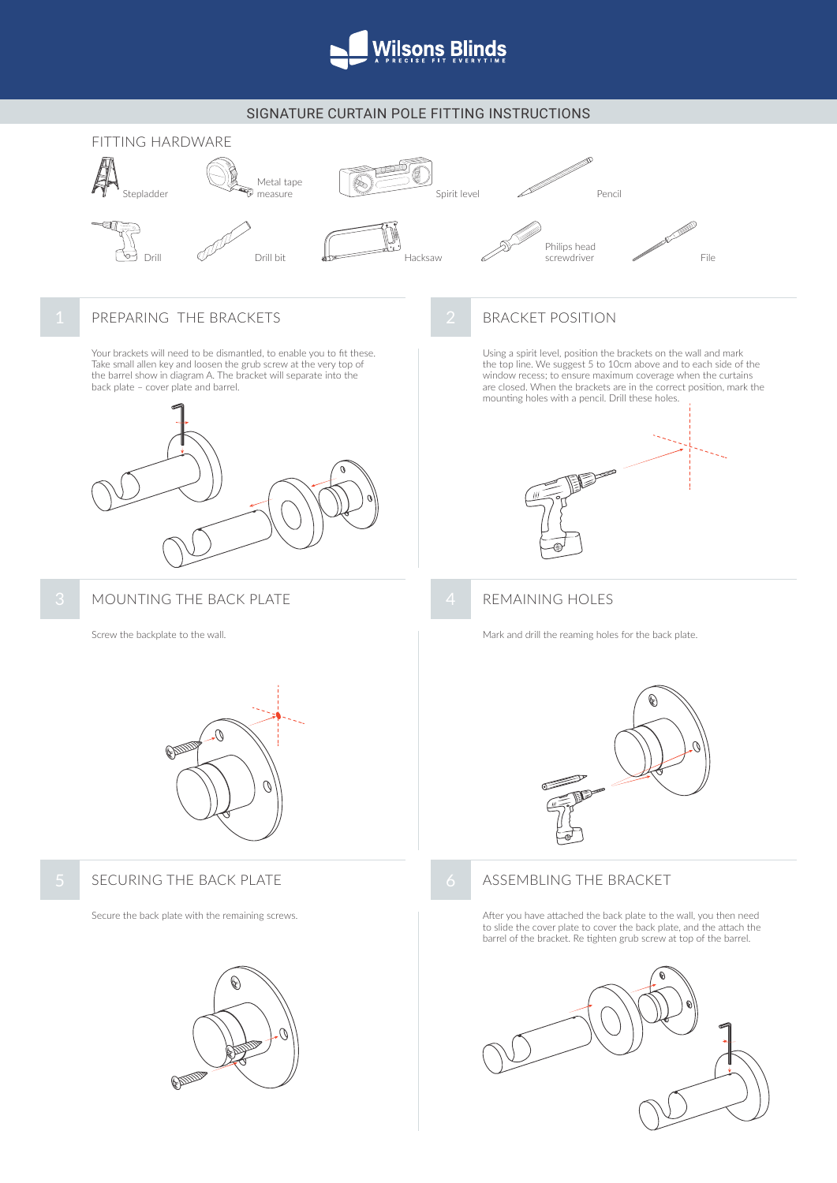